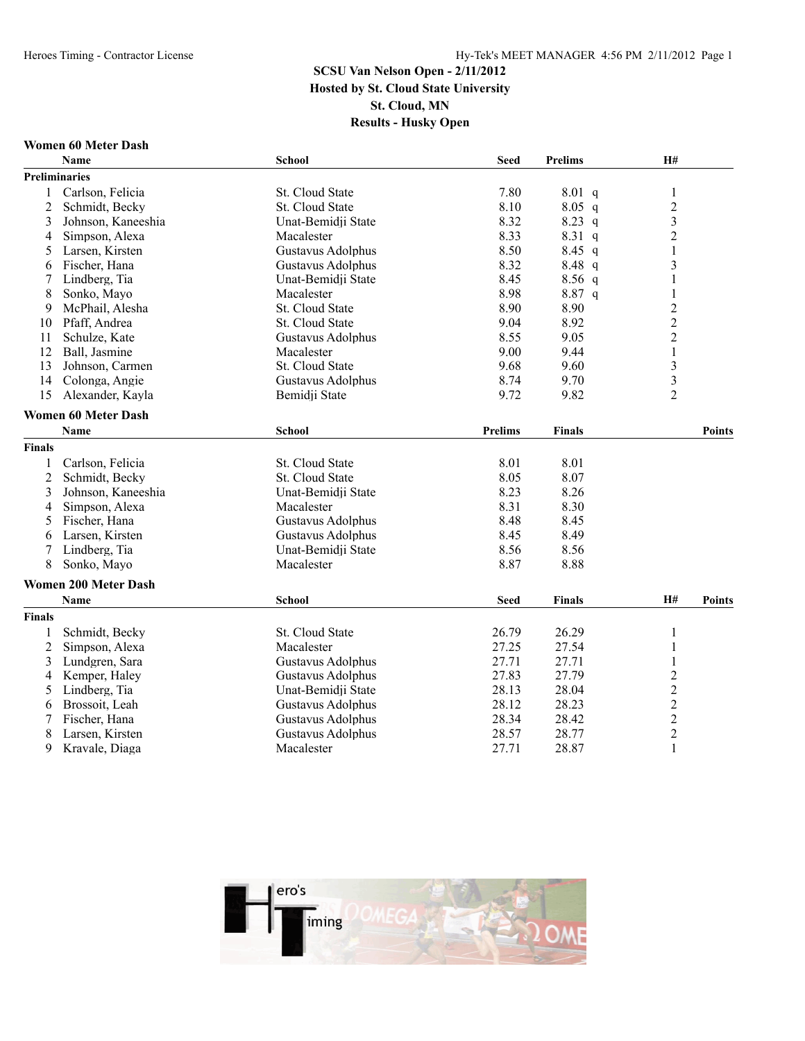#### **Women 60 Meter Dash**

|                | <b>Name</b>                 | <b>School</b>            | <b>Seed</b>    | <b>Prelims</b> | <b>H#</b>               |               |
|----------------|-----------------------------|--------------------------|----------------|----------------|-------------------------|---------------|
|                | <b>Preliminaries</b>        |                          |                |                |                         |               |
| 1              | Carlson, Felicia            | St. Cloud State          | 7.80           | 8.01 q         | $\mathbf{1}$            |               |
| $\overline{2}$ | Schmidt, Becky              | St. Cloud State          | 8.10           | $8.05$ q       | $\overline{c}$          |               |
| 3              | Johnson, Kaneeshia          | Unat-Bemidji State       | 8.32           | 8.23 q         | $\overline{\mathbf{3}}$ |               |
| $\overline{4}$ | Simpson, Alexa              | Macalester               | 8.33           | $8.31\ q$      | $\overline{2}$          |               |
| 5              | Larsen, Kirsten             | Gustavus Adolphus        | 8.50           | $8.45$ q       | $\mathbf{1}$            |               |
| 6              | Fischer, Hana               | Gustavus Adolphus        | 8.32           | 8.48 q         | $\overline{3}$          |               |
| 7              | Lindberg, Tia               | Unat-Bemidji State       | 8.45           | $8.56$ q       | 1                       |               |
| 8              | Sonko, Mayo                 | Macalester               | 8.98           | 8.87 q         | 1                       |               |
| 9              | McPhail, Alesha             | St. Cloud State          | 8.90           | 8.90           | $\overline{c}$          |               |
| 10             | Pfaff, Andrea               | St. Cloud State          | 9.04           | 8.92           | $\overline{c}$          |               |
| 11             | Schulze, Kate               | <b>Gustavus Adolphus</b> | 8.55           | 9.05           | $\overline{c}$          |               |
| 12             | Ball, Jasmine               | Macalester               | 9.00           | 9.44           | $\mathbf{1}$            |               |
| 13             | Johnson, Carmen             | St. Cloud State          | 9.68           | 9.60           | $\overline{\mathbf{3}}$ |               |
| 14             | Colonga, Angie              | <b>Gustavus Adolphus</b> | 8.74           | 9.70           | $\overline{\mathbf{3}}$ |               |
| 15             | Alexander, Kayla            | Bemidji State            | 9.72           | 9.82           | $\overline{2}$          |               |
|                | <b>Women 60 Meter Dash</b>  |                          |                |                |                         |               |
|                | <b>Name</b>                 | <b>School</b>            | <b>Prelims</b> | <b>Finals</b>  |                         | <b>Points</b> |
| <b>Finals</b>  |                             |                          |                |                |                         |               |
| 1              | Carlson, Felicia            | St. Cloud State          | 8.01           | 8.01           |                         |               |
| $\overline{2}$ | Schmidt, Becky              | <b>St. Cloud State</b>   | 8.05           | 8.07           |                         |               |
| 3              | Johnson, Kaneeshia          | Unat-Bemidji State       | 8.23           | 8.26           |                         |               |
| 4              | Simpson, Alexa              | Macalester               | 8.31           | 8.30           |                         |               |
| 5              | Fischer, Hana               | Gustavus Adolphus        | 8.48           | 8.45           |                         |               |
| 6              | Larsen, Kirsten             | Gustavus Adolphus        | 8.45           | 8.49           |                         |               |
|                | Lindberg, Tia               | Unat-Bemidji State       | 8.56           | 8.56           |                         |               |
| 8              | Sonko, Mayo                 | Macalester               | 8.87           | 8.88           |                         |               |
|                | <b>Women 200 Meter Dash</b> |                          |                |                |                         |               |
|                | <b>Name</b>                 | <b>School</b>            | <b>Seed</b>    | <b>Finals</b>  | H#                      | <b>Points</b> |
| <b>Finals</b>  |                             |                          |                |                |                         |               |
| 1              | Schmidt, Becky              | St. Cloud State          | 26.79          | 26.29          | $\mathbf{1}$            |               |
| $\overline{c}$ | Simpson, Alexa              | Macalester               | 27.25          | 27.54          | $\mathbf{1}$            |               |
| 3              | Lundgren, Sara              | <b>Gustavus Adolphus</b> | 27.71          | 27.71          | $\mathbf{1}$            |               |
| 4              | Kemper, Haley               | Gustavus Adolphus        | 27.83          | 27.79          | $\overline{c}$          |               |
| 5              | Lindberg, Tia               | Unat-Bemidji State       | 28.13          | 28.04          | $\overline{c}$          |               |
| 6              | Brossoit, Leah              | Gustavus Adolphus        | 28.12          | 28.23          | $\overline{2}$          |               |
| 7              | Fischer, Hana               | <b>Gustavus Adolphus</b> | 28.34          | 28.42          | $\overline{c}$          |               |
| 8              | Larsen, Kirsten             | <b>Gustavus Adolphus</b> | 28.57          | 28.77          | $\overline{c}$          |               |
| 9              | Kravale, Diaga              | Macalester               | 27.71          | 28.87          | $\mathbf{1}$            |               |

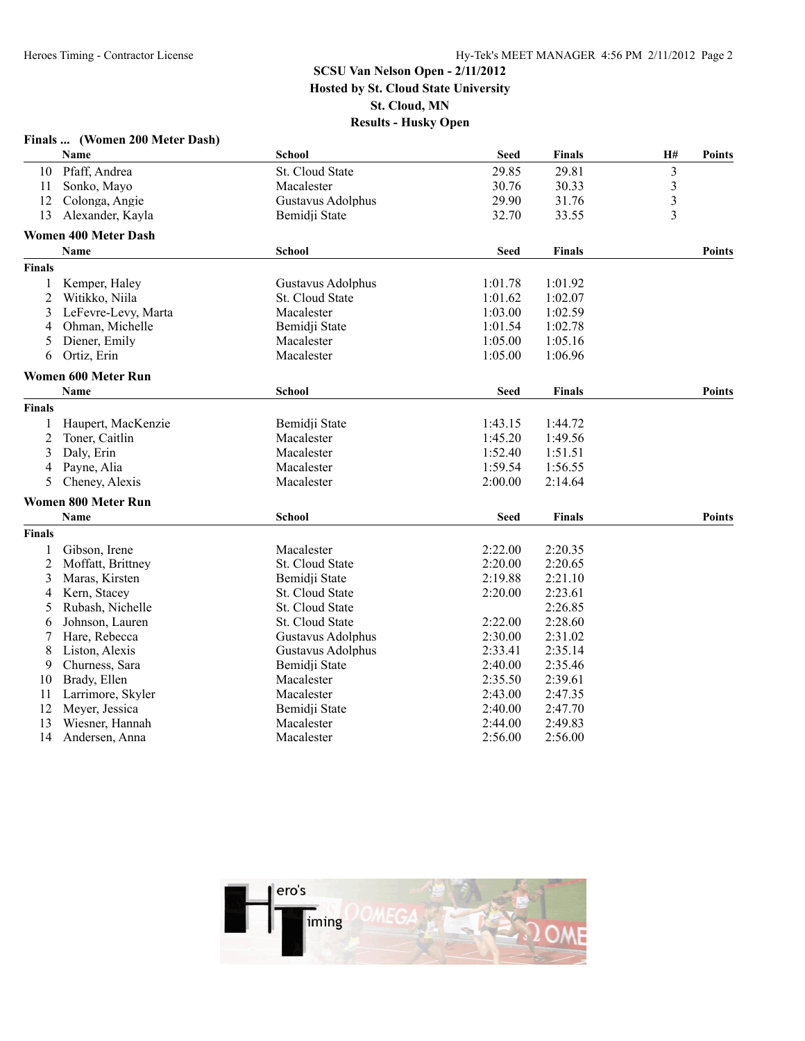|                | Finals  (Women 200 Meter Dash) |                   |             |               |                         |               |
|----------------|--------------------------------|-------------------|-------------|---------------|-------------------------|---------------|
|                | <b>Name</b>                    | <b>School</b>     | <b>Seed</b> | <b>Finals</b> | H#                      | <b>Points</b> |
| 10             | Pfaff, Andrea                  | St. Cloud State   | 29.85       | 29.81         | $\overline{\mathbf{3}}$ |               |
| 11             | Sonko, Mayo                    | Macalester        | 30.76       | 30.33         | $\overline{\mathbf{3}}$ |               |
| 12             | Colonga, Angie                 | Gustavus Adolphus | 29.90       | 31.76         | 3                       |               |
| 13             | Alexander, Kayla               | Bemidji State     | 32.70       | 33.55         | 3                       |               |
|                | <b>Women 400 Meter Dash</b>    |                   |             |               |                         |               |
|                | <b>Name</b>                    | <b>School</b>     | <b>Seed</b> | <b>Finals</b> |                         | <b>Points</b> |
| <b>Finals</b>  |                                |                   |             |               |                         |               |
| 1              | Kemper, Haley                  | Gustavus Adolphus | 1:01.78     | 1:01.92       |                         |               |
| $\overline{2}$ | Witikko, Niila                 | St. Cloud State   | 1:01.62     | 1:02.07       |                         |               |
| 3              | LeFevre-Levy, Marta            | Macalester        | 1:03.00     | 1:02.59       |                         |               |
| 4              | Ohman, Michelle                | Bemidji State     | 1:01.54     | 1:02.78       |                         |               |
| 5              | Diener, Emily                  | Macalester        | 1:05.00     | 1:05.16       |                         |               |
| 6              | Ortiz, Erin                    | Macalester        | 1:05.00     | 1:06.96       |                         |               |
|                | <b>Women 600 Meter Run</b>     |                   |             |               |                         |               |
|                | Name                           | <b>School</b>     | <b>Seed</b> | <b>Finals</b> |                         | <b>Points</b> |
| <b>Finals</b>  |                                |                   |             |               |                         |               |
| 1              | Haupert, MacKenzie             | Bemidji State     | 1:43.15     | 1:44.72       |                         |               |
| 2              | Toner, Caitlin                 | Macalester        | 1:45.20     | 1:49.56       |                         |               |
| 3              | Daly, Erin                     | Macalester        | 1:52.40     | 1:51.51       |                         |               |
| 4              | Payne, Alia                    | Macalester        | 1:59.54     | 1:56.55       |                         |               |
| 5              | Cheney, Alexis                 | Macalester        | 2:00.00     | 2:14.64       |                         |               |
|                | <b>Women 800 Meter Run</b>     |                   |             |               |                         |               |
|                | Name                           | <b>School</b>     | <b>Seed</b> | <b>Finals</b> |                         | <b>Points</b> |
| <b>Finals</b>  |                                |                   |             |               |                         |               |
| 1              | Gibson, Irene                  | Macalester        | 2:22.00     | 2:20.35       |                         |               |
| 2              | Moffatt, Brittney              | St. Cloud State   | 2:20.00     | 2:20.65       |                         |               |
| 3              | Maras, Kirsten                 | Bemidji State     | 2:19.88     | 2:21.10       |                         |               |
| 4              | Kern, Stacey                   | St. Cloud State   | 2:20.00     | 2:23.61       |                         |               |
| 5              | Rubash, Nichelle               | St. Cloud State   |             | 2:26.85       |                         |               |
| 6              | Johnson, Lauren                | St. Cloud State   | 2:22.00     | 2:28.60       |                         |               |
| 7              | Hare, Rebecca                  | Gustavus Adolphus | 2:30.00     | 2:31.02       |                         |               |
| 8              | Liston, Alexis                 | Gustavus Adolphus | 2:33.41     | 2:35.14       |                         |               |
| 9              | Churness, Sara                 | Bemidji State     | 2:40.00     | 2:35.46       |                         |               |
| 10             | Brady, Ellen                   | Macalester        | 2:35.50     | 2:39.61       |                         |               |
| 11             | Larrimore, Skyler              | Macalester        | 2:43.00     | 2:47.35       |                         |               |
| 12             | Meyer, Jessica                 | Bemidji State     | 2:40.00     | 2:47.70       |                         |               |
| 13             | Wiesner, Hannah                | Macalester        | 2:44.00     | 2:49.83       |                         |               |
| 14             | Andersen, Anna                 | Macalester        | 2:56.00     | 2:56.00       |                         |               |

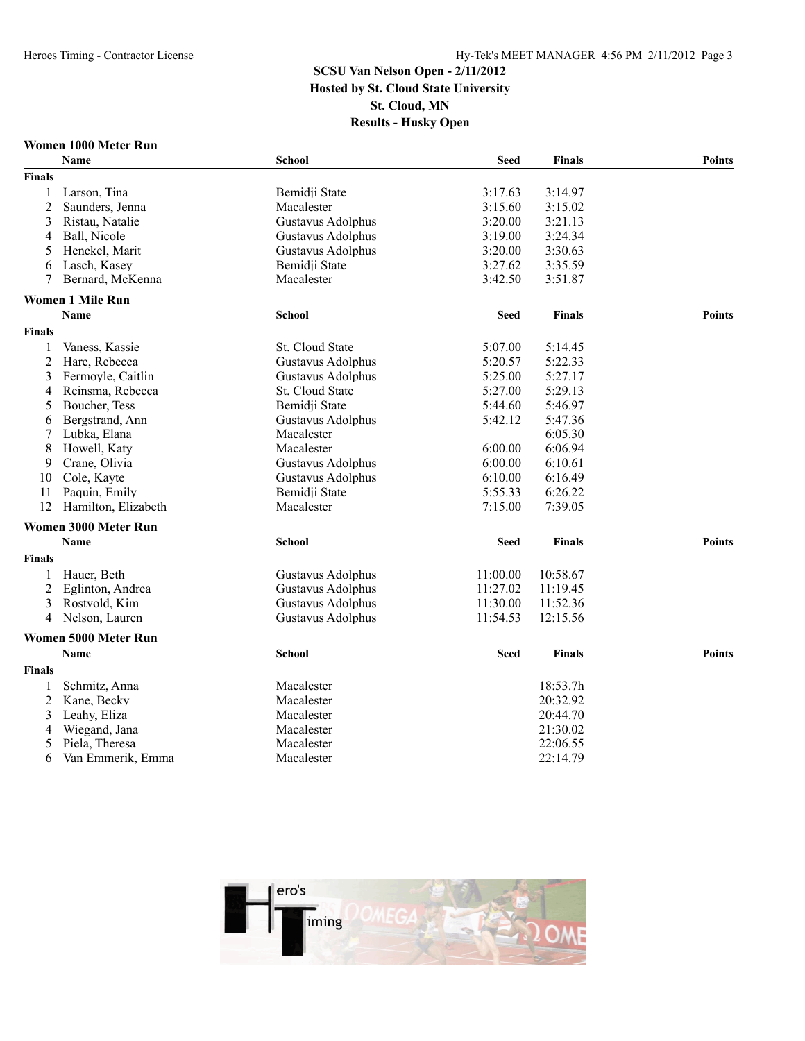#### **Women 1000 Meter Run**

|                | Name                    | <b>School</b>     | <b>Seed</b> | <b>Finals</b> | <b>Points</b> |
|----------------|-------------------------|-------------------|-------------|---------------|---------------|
| <b>Finals</b>  |                         |                   |             |               |               |
| 1              | Larson, Tina            | Bemidji State     | 3:17.63     | 3:14.97       |               |
| $\overline{2}$ | Saunders, Jenna         | Macalester        | 3:15.60     | 3:15.02       |               |
| 3              | Ristau, Natalie         | Gustavus Adolphus | 3:20.00     | 3:21.13       |               |
| 4              | Ball, Nicole            | Gustavus Adolphus | 3:19.00     | 3:24.34       |               |
| 5              | Henckel, Marit          | Gustavus Adolphus | 3:20.00     | 3:30.63       |               |
| 6              | Lasch, Kasey            | Bemidji State     | 3:27.62     | 3:35.59       |               |
| 7              | Bernard, McKenna        | Macalester        | 3:42.50     | 3:51.87       |               |
|                | <b>Women 1 Mile Run</b> |                   |             |               |               |
|                | Name                    | <b>School</b>     | <b>Seed</b> | <b>Finals</b> | <b>Points</b> |
| <b>Finals</b>  |                         |                   |             |               |               |
| 1              | Vaness, Kassie          | St. Cloud State   | 5:07.00     | 5:14.45       |               |
| 2              | Hare, Rebecca           | Gustavus Adolphus | 5:20.57     | 5:22.33       |               |
| 3              | Fermoyle, Caitlin       | Gustavus Adolphus | 5:25.00     | 5:27.17       |               |
| $\overline{4}$ | Reinsma, Rebecca        | St. Cloud State   | 5:27.00     | 5:29.13       |               |
| 5              | Boucher, Tess           | Bemidji State     | 5:44.60     | 5:46.97       |               |
| 6              | Bergstrand, Ann         | Gustavus Adolphus | 5:42.12     | 5:47.36       |               |
| 7              | Lubka, Elana            | Macalester        |             | 6:05.30       |               |
| 8              | Howell, Katy            | Macalester        | 6:00.00     | 6:06.94       |               |
| 9              | Crane, Olivia           | Gustavus Adolphus | 6:00.00     | 6:10.61       |               |
| 10             | Cole, Kayte             | Gustavus Adolphus | 6:10.00     | 6:16.49       |               |
| 11             | Paquin, Emily           | Bemidji State     | 5:55.33     | 6:26.22       |               |
| 12             | Hamilton, Elizabeth     | Macalester        | 7:15.00     | 7:39.05       |               |
|                | Women 3000 Meter Run    |                   |             |               |               |
|                | Name                    | <b>School</b>     | Seed        | <b>Finals</b> | <b>Points</b> |
| <b>Finals</b>  |                         |                   |             |               |               |
| 1              | Hauer, Beth             | Gustavus Adolphus | 11:00.00    | 10:58.67      |               |
| $\overline{c}$ | Eglinton, Andrea        | Gustavus Adolphus | 11:27.02    | 11:19.45      |               |
| 3              | Rostvold, Kim           | Gustavus Adolphus | 11:30.00    | 11:52.36      |               |
| 4              | Nelson, Lauren          | Gustavus Adolphus | 11:54.53    | 12:15.56      |               |
|                | Women 5000 Meter Run    |                   |             |               |               |
|                | <b>Name</b>             | <b>School</b>     | <b>Seed</b> | <b>Finals</b> | <b>Points</b> |
| <b>Finals</b>  |                         |                   |             |               |               |
|                | Schmitz, Anna           | Macalester        |             | 18:53.7h      |               |
| $\overline{2}$ | Kane, Becky             | Macalester        |             | 20:32.92      |               |
| 3              | Leahy, Eliza            | Macalester        |             | 20:44.70      |               |
| 4              | Wiegand, Jana           | Macalester        |             | 21:30.02      |               |
| 5              | Piela, Theresa          | Macalester        |             | 22:06.55      |               |
| 6              | Van Emmerik, Emma       | Macalester        |             | 22:14.79      |               |

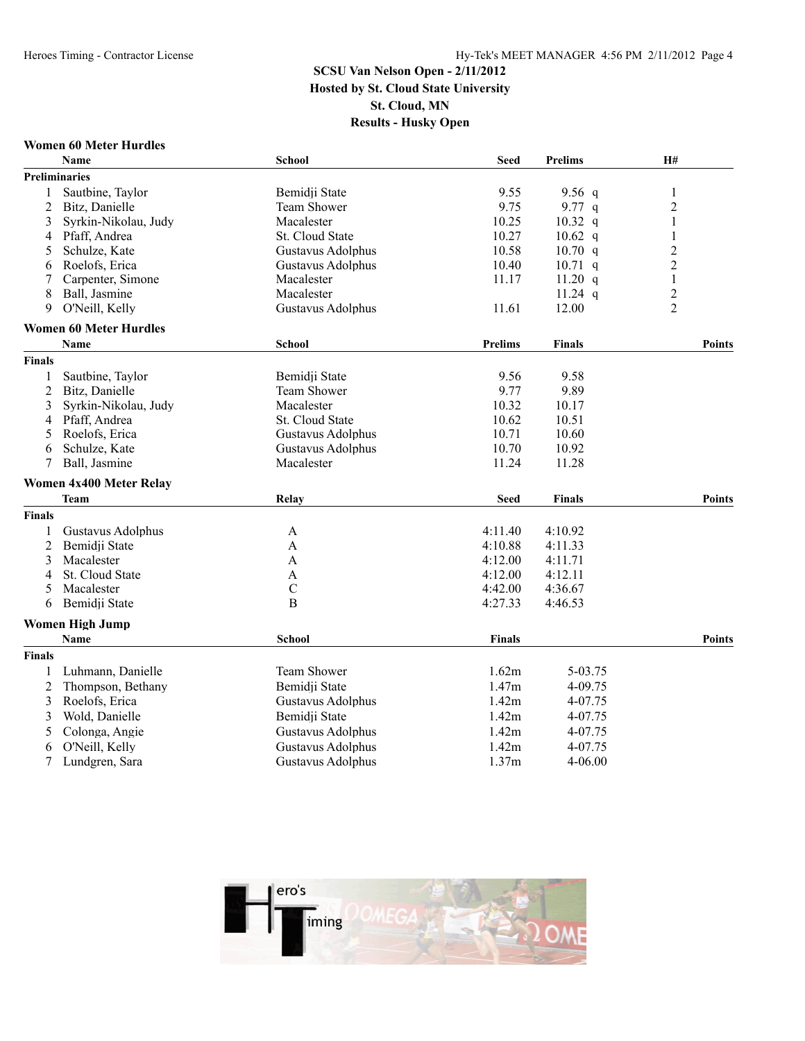#### **Women 60 Meter Hurdles**

|                | <b>Name</b>                    | <b>School</b>            | <b>Seed</b>    | <b>Prelims</b> | H#                      |
|----------------|--------------------------------|--------------------------|----------------|----------------|-------------------------|
|                | <b>Preliminaries</b>           |                          |                |                |                         |
| 1              | Sautbine, Taylor               | Bemidji State            | 9.55           | 9.56 $q$       | 1                       |
| $\overline{c}$ | Bitz, Danielle                 | <b>Team Shower</b>       | 9.75           | 9.77 $q$       | $\overline{c}$          |
| 3              | Syrkin-Nikolau, Judy           | Macalester               | 10.25          | $10.32$ q      | $\mathbf{1}$            |
| 4              | Pfaff, Andrea                  | St. Cloud State          | 10.27          | $10.62$ q      | $\mathbf{1}$            |
| 5              | Schulze, Kate                  | Gustavus Adolphus        | 10.58          | $10.70$ q      | $\overline{c}$          |
| 6              | Roelofs, Erica                 | Gustavus Adolphus        | 10.40          | $10.71$ q      | $\overline{c}$          |
|                | Carpenter, Simone              | Macalester               | 11.17          | 11.20 q        | $\mathbf{1}$            |
| 8              | Ball, Jasmine                  | Macalester               |                | $11.24$ q      | $\overline{\mathbf{c}}$ |
| 9              | O'Neill, Kelly                 | Gustavus Adolphus        | 11.61          | 12.00          | $\overline{2}$          |
|                | <b>Women 60 Meter Hurdles</b>  |                          |                |                |                         |
|                | <b>Name</b>                    | <b>School</b>            | <b>Prelims</b> | <b>Finals</b>  | <b>Points</b>           |
| <b>Finals</b>  |                                |                          |                |                |                         |
| 1              | Sautbine, Taylor               | Bemidji State            | 9.56           | 9.58           |                         |
| $\overline{2}$ | Bitz, Danielle                 | <b>Team Shower</b>       | 9.77           | 9.89           |                         |
| 3              | Syrkin-Nikolau, Judy           | Macalester               | 10.32          | 10.17          |                         |
| 4              | Pfaff, Andrea                  | <b>St. Cloud State</b>   | 10.62          | 10.51          |                         |
| 5              | Roelofs, Erica                 | <b>Gustavus Adolphus</b> | 10.71          | 10.60          |                         |
| 6              | Schulze, Kate                  | Gustavus Adolphus        | 10.70          | 10.92          |                         |
| 7              | Ball, Jasmine                  | Macalester               | 11.24          | 11.28          |                         |
|                | <b>Women 4x400 Meter Relay</b> |                          |                |                |                         |
|                | <b>Team</b>                    | Relay                    | <b>Seed</b>    | <b>Finals</b>  | <b>Points</b>           |
| <b>Finals</b>  |                                |                          |                |                |                         |
| 1              | Gustavus Adolphus              | A                        | 4:11.40        | 4:10.92        |                         |
| $\overline{c}$ | Bemidji State                  | $\mathbf{A}$             | 4:10.88        | 4:11.33        |                         |
| 3              | Macalester                     | A                        | 4:12.00        | 4:11.71        |                         |
| 4              | St. Cloud State                | A                        | 4:12.00        | 4:12.11        |                         |
| 5              | Macalester                     | $\mathcal{C}$            | 4:42.00        | 4:36.67        |                         |
| 6              | Bemidji State                  | B                        | 4:27.33        | 4:46.53        |                         |
|                | <b>Women High Jump</b>         |                          |                |                |                         |
|                | <b>Name</b>                    | <b>School</b>            | <b>Finals</b>  |                | <b>Points</b>           |
| <b>Finals</b>  |                                |                          |                |                |                         |
| 1              | Luhmann, Danielle              | Team Shower              | 1.62m          | 5-03.75        |                         |
| 2              | Thompson, Bethany              | Bemidji State            | 1.47m          | 4-09.75        |                         |
| 3              | Roelofs, Erica                 | Gustavus Adolphus        | 1.42m          | 4-07.75        |                         |
| 3              | Wold, Danielle                 | Bemidji State            | 1.42m          | 4-07.75        |                         |
| 5              | Colonga, Angie                 | Gustavus Adolphus        | 1.42m          | 4-07.75        |                         |
| 6              | O'Neill, Kelly                 | <b>Gustavus Adolphus</b> | 1.42m          | 4-07.75        |                         |
| 7              | Lundgren, Sara                 | Gustavus Adolphus        | 1.37m          | $4 - 06.00$    |                         |

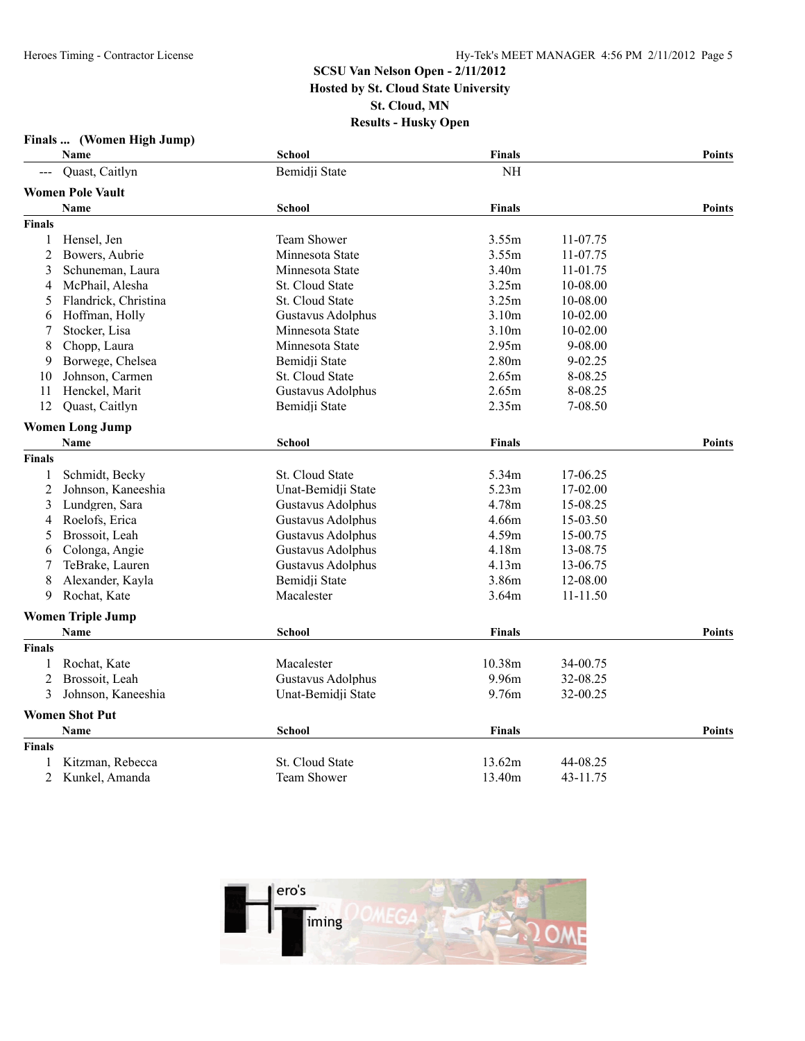|                | Finals  (Women High Jump)        |                          |                   |              |               |
|----------------|----------------------------------|--------------------------|-------------------|--------------|---------------|
|                | Name                             | School                   | Finals            |              | <b>Points</b> |
|                | Quast, Caitlyn                   | Bemidji State            | <b>NH</b>         |              |               |
|                | <b>Women Pole Vault</b>          |                          |                   |              |               |
|                | <b>Name</b>                      | <b>School</b>            | Finals            |              | <b>Points</b> |
| <b>Finals</b>  |                                  |                          |                   |              |               |
| $\mathbf{1}$   | Hensel, Jen                      | Team Shower              | 3.55m             | 11-07.75     |               |
| $\overline{2}$ | Bowers, Aubrie                   | Minnesota State          | 3.55m             | 11-07.75     |               |
| 3              | Schuneman, Laura                 | Minnesota State          | 3.40m             | 11-01.75     |               |
| 4              | McPhail, Alesha                  | <b>St. Cloud State</b>   | 3.25m             | 10-08.00     |               |
| 5              | Flandrick, Christina             | St. Cloud State          | 3.25m             | 10-08.00     |               |
| 6              | Hoffman, Holly                   | Gustavus Adolphus        | 3.10m             | 10-02.00     |               |
| 7              | Stocker, Lisa                    | Minnesota State          | 3.10 <sub>m</sub> | 10-02.00     |               |
| 8              | Chopp, Laura                     | Minnesota State          | 2.95m             | 9-08.00      |               |
| 9              | Borwege, Chelsea                 | Bemidji State            | 2.80m             | 9-02.25      |               |
| 10             | Johnson, Carmen                  | St. Cloud State          | 2.65m             | 8-08.25      |               |
| 11             | Henckel, Marit                   | Gustavus Adolphus        | 2.65m             | 8-08.25      |               |
| 12             | Quast, Caitlyn                   | Bemidji State            | 2.35m             | 7-08.50      |               |
|                | <b>Women Long Jump</b>           |                          |                   |              |               |
|                | <b>Name</b>                      | <b>School</b>            | <b>Finals</b>     |              | <b>Points</b> |
| <b>Finals</b>  |                                  |                          |                   |              |               |
| 1              | Schmidt, Becky                   | St. Cloud State          | 5.34m             | 17-06.25     |               |
| $\overline{c}$ | Johnson, Kaneeshia               | Unat-Bemidji State       | 5.23m             | 17-02.00     |               |
| 3              | Lundgren, Sara                   | Gustavus Adolphus        | 4.78m             | 15-08.25     |               |
| 4              | Roelofs, Erica                   | <b>Gustavus Adolphus</b> | 4.66m             | 15-03.50     |               |
| 5              | Brossoit, Leah                   | Gustavus Adolphus        | 4.59m             | 15-00.75     |               |
| 6              | Colonga, Angie                   | Gustavus Adolphus        | 4.18m             | 13-08.75     |               |
| 7              | TeBrake, Lauren                  | Gustavus Adolphus        | 4.13m             | 13-06.75     |               |
| 8              | Alexander, Kayla                 | Bemidji State            | 3.86m             | 12-08.00     |               |
| 9              | Rochat, Kate                     | Macalester               | 3.64m             | $11 - 11.50$ |               |
|                |                                  |                          |                   |              |               |
|                | <b>Women Triple Jump</b><br>Name | <b>School</b>            | Finals            |              | <b>Points</b> |
| <b>Finals</b>  |                                  |                          |                   |              |               |
| 1              | Rochat, Kate                     | Macalester               | 10.38m            | 34-00.75     |               |
| $\overline{2}$ | Brossoit, Leah                   | Gustavus Adolphus        | 9.96m             | 32-08.25     |               |
| 3              | Johnson, Kaneeshia               | Unat-Bemidji State       | 9.76m             | 32-00.25     |               |
|                |                                  |                          |                   |              |               |
|                | <b>Women Shot Put</b>            |                          |                   |              |               |
|                | Name                             | <b>School</b>            | <b>Finals</b>     |              | Points        |
| <b>Finals</b>  |                                  |                          |                   |              |               |
|                | Kitzman, Rebecca                 | St. Cloud State          | 13.62m            | 44-08.25     |               |
| $\overline{2}$ | Kunkel, Amanda                   | <b>Team Shower</b>       | 13.40m            | 43-11.75     |               |

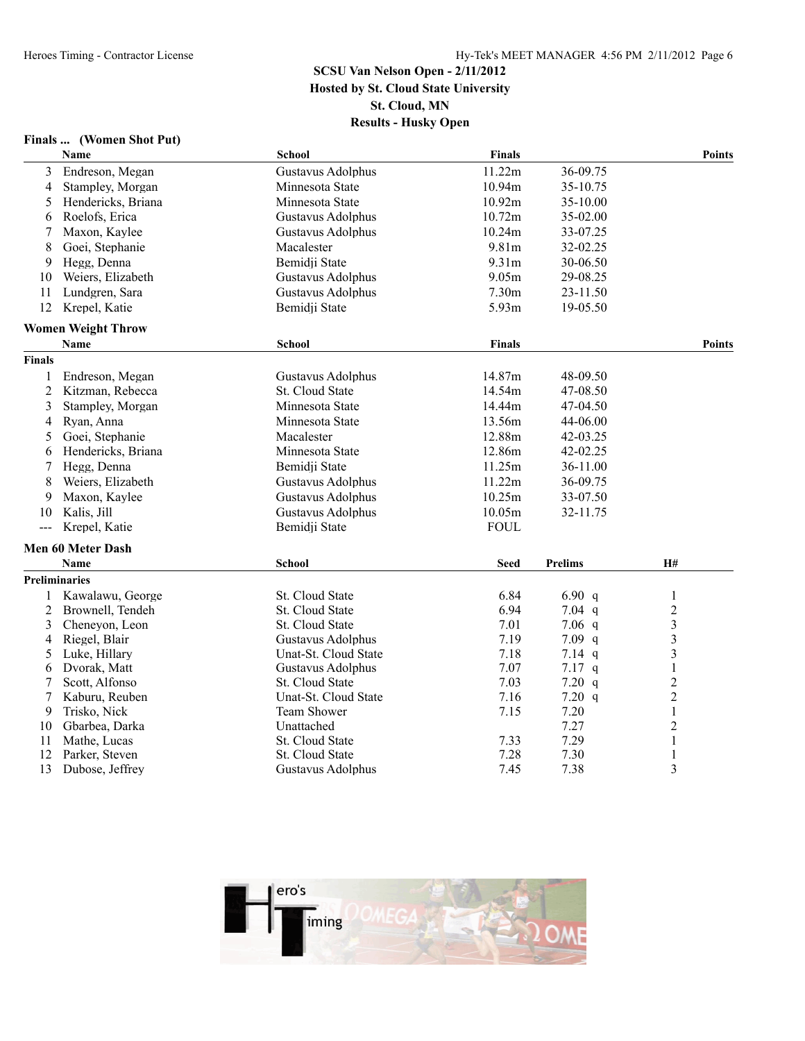#### **Finals ... (Women Shot Put)**

|               | Name                      | <b>School</b>            | Finals        |                | <b>Points</b>    |
|---------------|---------------------------|--------------------------|---------------|----------------|------------------|
| 3             | Endreson, Megan           | Gustavus Adolphus        | 11.22m        | 36-09.75       |                  |
| 4             | Stampley, Morgan          | Minnesota State          | 10.94m        | 35-10.75       |                  |
| 5             | Hendericks, Briana        | Minnesota State          | 10.92m        | 35-10.00       |                  |
| 6             | Roelofs, Erica            | Gustavus Adolphus        | 10.72m        | 35-02.00       |                  |
| 7             | Maxon, Kaylee             | Gustavus Adolphus        | 10.24m        | 33-07.25       |                  |
| 8             | Goei, Stephanie           | Macalester               | 9.81m         | 32-02.25       |                  |
| 9             | Hegg, Denna               | Bemidji State            | 9.31m         | 30-06.50       |                  |
| 10            | Weiers, Elizabeth         | Gustavus Adolphus        | 9.05m         | 29-08.25       |                  |
| 11            | Lundgren, Sara            | Gustavus Adolphus        | 7.30m         | 23-11.50       |                  |
| 12            | Krepel, Katie             | Bemidji State            | 5.93m         | 19-05.50       |                  |
|               | <b>Women Weight Throw</b> |                          |               |                |                  |
|               | Name                      | <b>School</b>            | <b>Finals</b> |                | <b>Points</b>    |
| <b>Finals</b> |                           |                          |               |                |                  |
| 1             | Endreson, Megan           | Gustavus Adolphus        | 14.87m        | 48-09.50       |                  |
| 2             | Kitzman, Rebecca          | St. Cloud State          | 14.54m        | 47-08.50       |                  |
| 3             | Stampley, Morgan          | Minnesota State          | 14.44m        | 47-04.50       |                  |
| 4             | Ryan, Anna                | Minnesota State          | 13.56m        | 44-06.00       |                  |
| 5             | Goei, Stephanie           | Macalester               | 12.88m        | 42-03.25       |                  |
| 6             | Hendericks, Briana        | Minnesota State          | 12.86m        | 42-02.25       |                  |
| 7             | Hegg, Denna               | Bemidji State            | 11.25m        | 36-11.00       |                  |
| 8             | Weiers, Elizabeth         | Gustavus Adolphus        | 11.22m        | 36-09.75       |                  |
| 9             | Maxon, Kaylee             | Gustavus Adolphus        | 10.25m        | 33-07.50       |                  |
| 10            | Kalis, Jill               | <b>Gustavus Adolphus</b> | 10.05m        | 32-11.75       |                  |
| $\frac{1}{2}$ | Krepel, Katie             | Bemidji State            | <b>FOUL</b>   |                |                  |
|               | <b>Men 60 Meter Dash</b>  |                          |               |                |                  |
|               | Name                      | <b>School</b>            | <b>Seed</b>   | <b>Prelims</b> | <b>H#</b>        |
|               | <b>Preliminaries</b>      |                          |               |                |                  |
|               | Kawalawu, George          | St. Cloud State          | 6.84          | 6.90 $q$       | $\mathbf{1}$     |
| 2             | Brownell, Tendeh          | St. Cloud State          | 6.94          | $7.04$ q       | $\sqrt{2}$       |
| 3             | Cheneyon, Leon            | St. Cloud State          | 7.01          | $7.06$ q       | $\mathfrak{Z}$   |
| 4             | Riegel, Blair             | Gustavus Adolphus        | 7.19          | $7.09$ q       | $\overline{3}$   |
| 5             | Luke, Hillary             | Unat-St. Cloud State     | 7.18          | $7.14$ q       | $\overline{3}$   |
| 6             | Dvorak, Matt              | Gustavus Adolphus        | 7.07          | $7.17$ q       | $\mathbf{1}$     |
| 7             | Scott, Alfonso            | St. Cloud State          | 7.03          | 7.20 q         | $\boldsymbol{2}$ |
| 7             | Kaburu, Reuben            | Unat-St. Cloud State     | 7.16          | 7.20 q         | $\overline{2}$   |
| 9             | Trisko, Nick              | Team Shower              | 7.15          | 7.20           | $\mathbf{1}$     |
| 10            | Gbarbea, Darka            | Unattached               |               | 7.27           | $\overline{2}$   |
| 11            | Mathe, Lucas              | St. Cloud State          | 7.33          | 7.29           | 1                |
| 12            | Parker, Steven            | St. Cloud State          | 7.28          | 7.30           | $\mathbf{1}$     |
| 13            | Dubose, Jeffrey           | Gustavus Adolphus        | 7.45          | 7.38           | 3                |

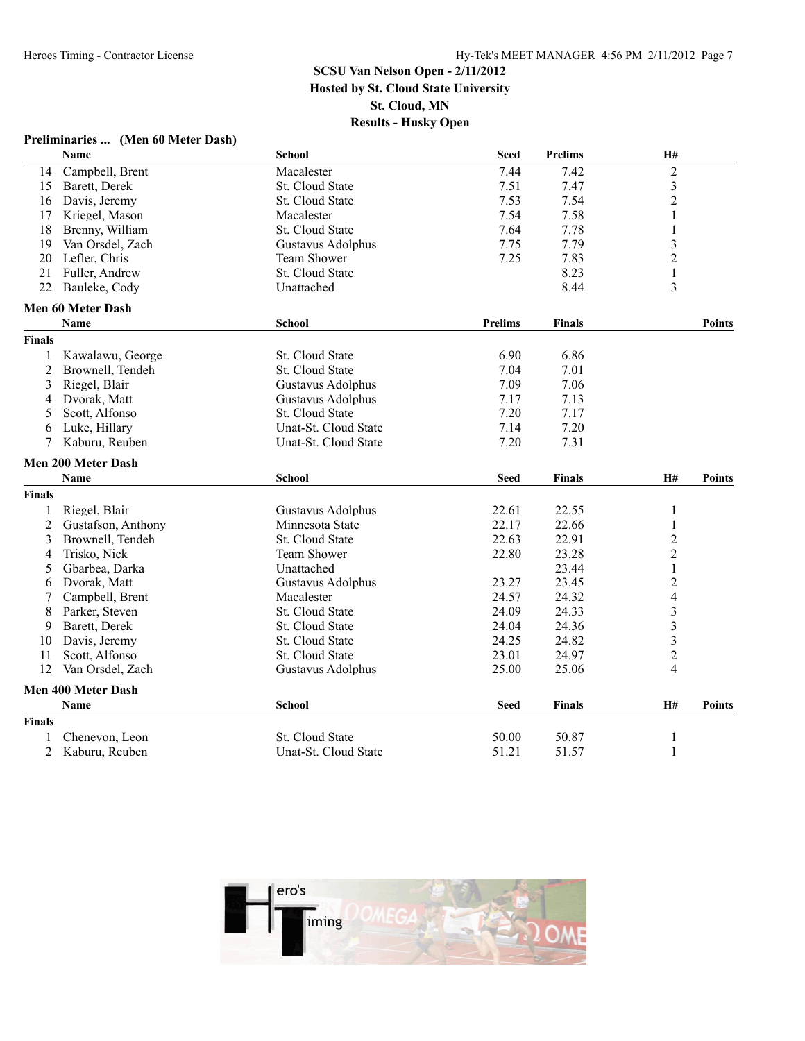#### **Preliminaries ... (Men 60 Meter Dash) Name School Seed Prelims H#** 14 Campbell, Brent 15 Barett, Derek 15 Barett, Derek 15 Barett, Derek 15 Barett, Derek 15 Barett, Derek 15 Barett, Derek 15 Barett, Derek 15 Barett, Derek 15 Barett, Derek 15 Barett, Derek 15 Barett, Derek 15 Barett, Derek 15 Barett, Derek St. Cloud State 7.51 7.47 3<br>16 Davis, Jeremy St. Cloud State 7.53 7.54 2 16 Davis, Jeremy St. Cloud State 7.53 7.54 17 Kriegel, Mason Macalester 7.54 7.58 1 18 Brenny, William St. Cloud State 7.64 7.78 1<br>19 Van Orsdel, Zach Gustavus Adolphus 7.75 7.79 3 19 Van Orsdel, Zach Gustavus Adolphus 7.75 7.79<br>20 Lefler, Chris Team Shower 7.25 7.83 2 Lefler, Chris Team Shower 7.25 7.83 2 21 Fuller, Andrew St. Cloud State 8.23 1 22 Bauleke, Cody **Contract Contract Contract Contract Contract Contract Contract Contract Contract Contract Contract Contract Contract Contract Contract Contract Contract Contract Contract Contract Contract Contract Contra Men 60 Meter Dash Name School Prelims Finals Points Finals** 1 Kawalawu, George St. Cloud State 6.90 6.86 2 Brownell, Tendeh St. Cloud State 7.04 7.01 7.01 3 Riegel, Blair Gustavus Adolphus 7.09 7.06 4 Dvorak, Matt Gustavus Adolphus 7.17 7.13 5 Scott, Alfonso St. Cloud State 7.20 7.17 6 Luke, Hillary Unat-St. Cloud State 7.14 7.20 7 Kaburu, Reuben Unat-St. Cloud State **Men 200 Meter Dash Name School Seed Finals H# Points Finals** 1 Riegel, Blair **Gustavus Adolphus** 22.61 22.55 1 2 Gustafson, Anthony Minnesota State 22.17 22.66 1<br>3 Brownell Tendeh St. Cloud State 22.63 22.91 2 3 Brownell, Tendeh St. Cloud State 22.63 22.91 2<br>4 Trisko. Nick 22.80 23.28 2 4 Trisko, Nick Team Shower 22.80 23.28 2 5 Gbarbea, Darka Unattached 23.44 1 6 Dvorak, Matt Gustavus Adolphus 23.27 23.45 2 7 Campbell, Brent Macalester 24.57 24.32 4 8 Parker, Steven St. Cloud State 24.09 24.33 3<br>
9 Barett, Derek St. Cloud State 24.04 24.36 3 9 Barett, Derek St. Cloud State 24.04 24.36 3<br>
0 Davis, Jeremy St. Cloud State 24.25 24.82 3 10 Davis, Jeremy St. Cloud State 24.25 24.82 3<br>11 Scott, Alfonso St. Cloud State 23.01 24.97 2 11 Scott, Alfonso 24.97 21.01 St. Cloud State 23.01 24.97 12 Van Orsdel, Zach Gustavus Adolphus 25.00 25.06 4 **Men 400 Meter Dash Name School Seed Finals H# Points Finals** 1 Cheneyon, Leon St. Cloud State 50.00 50.87 1<br>2 Kaburu, Reuben Unat-St. Cloud State 51.21 51.57 1 2 Kaburu, Reuben Unat-St. Cloud State 51.21 51.57 1

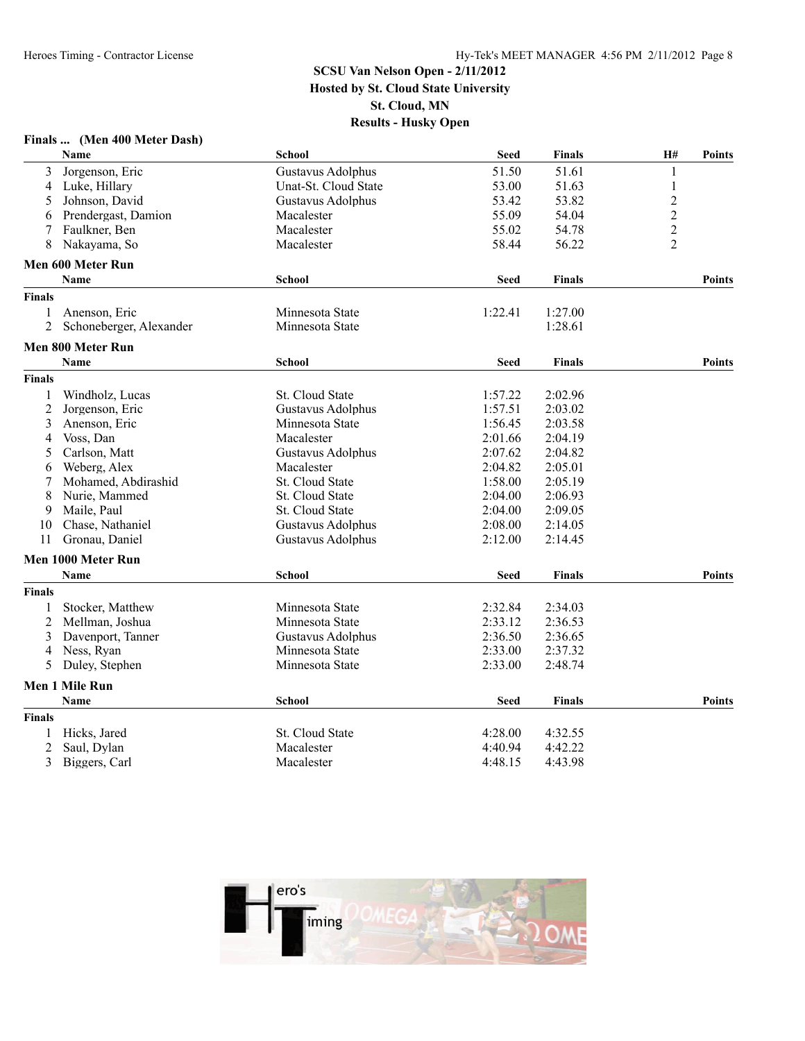|               | Finals  (Men 400 Meter Dash) |                        |             |               |                         |               |
|---------------|------------------------------|------------------------|-------------|---------------|-------------------------|---------------|
|               | Name                         | <b>School</b>          | <b>Seed</b> | <b>Finals</b> | H#                      | Points        |
| 3             | Jorgenson, Eric              | Gustavus Adolphus      | 51.50       | 51.61         | $\mathbf{1}$            |               |
| 4             | Luke, Hillary                | Unat-St. Cloud State   | 53.00       | 51.63         | 1                       |               |
| 5             | Johnson, David               | Gustavus Adolphus      | 53.42       | 53.82         | $\overline{c}$          |               |
| 6             | Prendergast, Damion          | Macalester             | 55.09       | 54.04         | $\overline{\mathbf{c}}$ |               |
| 7             | Faulkner, Ben                | Macalester             | 55.02       | 54.78         | $\overline{c}$          |               |
| 8             | Nakayama, So                 | Macalester             | 58.44       | 56.22         | $\overline{2}$          |               |
|               | Men 600 Meter Run            |                        |             |               |                         |               |
|               | <b>Name</b>                  | <b>School</b>          | <b>Seed</b> | <b>Finals</b> |                         | <b>Points</b> |
| <b>Finals</b> |                              |                        |             |               |                         |               |
| 1             | Anenson, Eric                | Minnesota State        | 1:22.41     | 1:27.00       |                         |               |
| 2             | Schoneberger, Alexander      | Minnesota State        |             | 1:28.61       |                         |               |
|               | Men 800 Meter Run            |                        |             |               |                         |               |
|               | <b>Name</b>                  | <b>School</b>          | <b>Seed</b> | <b>Finals</b> |                         | <b>Points</b> |
| <b>Finals</b> |                              |                        |             |               |                         |               |
| 1             | Windholz, Lucas              | <b>St. Cloud State</b> | 1:57.22     | 2:02.96       |                         |               |
| 2             | Jorgenson, Eric              | Gustavus Adolphus      | 1:57.51     | 2:03.02       |                         |               |
| 3             | Anenson, Eric                | Minnesota State        | 1:56.45     | 2:03.58       |                         |               |
| 4             | Voss, Dan                    | Macalester             | 2:01.66     | 2:04.19       |                         |               |
| 5             | Carlson, Matt                | Gustavus Adolphus      | 2:07.62     | 2:04.82       |                         |               |
| 6             | Weberg, Alex                 | Macalester             | 2:04.82     | 2:05.01       |                         |               |
| 7             | Mohamed, Abdirashid          | St. Cloud State        | 1:58.00     | 2:05.19       |                         |               |
| 8             | Nurie, Mammed                | St. Cloud State        | 2:04.00     | 2:06.93       |                         |               |
| 9             | Maile, Paul                  | St. Cloud State        | 2:04.00     | 2:09.05       |                         |               |
| 10            | Chase, Nathaniel             | Gustavus Adolphus      | 2:08.00     | 2:14.05       |                         |               |
| 11            | Gronau, Daniel               | Gustavus Adolphus      | 2:12.00     | 2:14.45       |                         |               |
|               | Men 1000 Meter Run           |                        |             |               |                         |               |
|               | Name                         | <b>School</b>          | <b>Seed</b> | <b>Finals</b> |                         | Points        |
| <b>Finals</b> |                              |                        |             |               |                         |               |
| 1             | Stocker, Matthew             | Minnesota State        | 2:32.84     | 2:34.03       |                         |               |
| 2             | Mellman, Joshua              | Minnesota State        | 2:33.12     | 2:36.53       |                         |               |
| 3             | Davenport, Tanner            | Gustavus Adolphus      | 2:36.50     | 2:36.65       |                         |               |
| 4             | Ness, Ryan                   | Minnesota State        | 2:33.00     | 2:37.32       |                         |               |
| 5             | Duley, Stephen               | Minnesota State        | 2:33.00     | 2:48.74       |                         |               |
|               | Men 1 Mile Run               |                        |             |               |                         |               |
|               | <b>Name</b>                  | <b>School</b>          | <b>Seed</b> | <b>Finals</b> |                         | <b>Points</b> |
| <b>Finals</b> |                              |                        |             |               |                         |               |
| 1             | Hicks, Jared                 | St. Cloud State        | 4:28.00     | 4:32.55       |                         |               |
| 2             | Saul, Dylan                  | Macalester             | 4:40.94     | 4:42.22       |                         |               |
| 3             | Biggers, Carl                | Macalester             | 4:48.15     | 4:43.98       |                         |               |

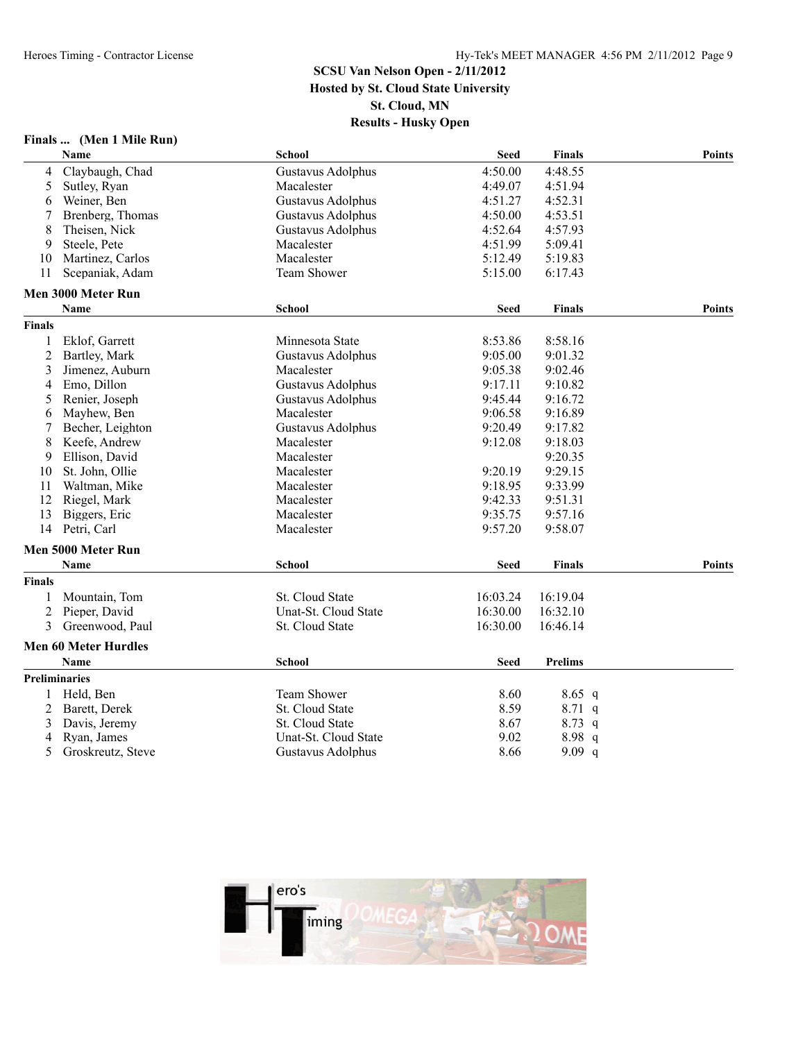#### **Finals ... (Men 1 Mile Run)**

|                | Name                        | <b>School</b>            | <b>Seed</b> | Finals         | <b>Points</b> |
|----------------|-----------------------------|--------------------------|-------------|----------------|---------------|
| 4              | Claybaugh, Chad             | <b>Gustavus Adolphus</b> | 4:50.00     | 4:48.55        |               |
| 5              | Sutley, Ryan                | Macalester               | 4:49.07     | 4:51.94        |               |
| 6              | Weiner, Ben                 | Gustavus Adolphus        | 4:51.27     | 4:52.31        |               |
|                | Brenberg, Thomas            | Gustavus Adolphus        | 4:50.00     | 4:53.51        |               |
| 8              | Theisen, Nick               | Gustavus Adolphus        | 4:52.64     | 4:57.93        |               |
| 9              | Steele, Pete                | Macalester               | 4:51.99     | 5:09.41        |               |
| 10             | Martinez, Carlos            | Macalester               | 5:12.49     | 5:19.83        |               |
| 11             | Scepaniak, Adam             | <b>Team Shower</b>       | 5:15.00     | 6:17.43        |               |
|                | Men 3000 Meter Run          |                          |             |                |               |
|                | <b>Name</b>                 | <b>School</b>            | Seed        | <b>Finals</b>  | <b>Points</b> |
| <b>Finals</b>  |                             |                          |             |                |               |
| 1              | Eklof, Garrett              | Minnesota State          | 8:53.86     | 8:58.16        |               |
| $\overline{2}$ | Bartley, Mark               | Gustavus Adolphus        | 9:05.00     | 9:01.32        |               |
| 3              | Jimenez, Auburn             | Macalester               | 9:05.38     | 9:02.46        |               |
| 4              | Emo, Dillon                 | <b>Gustavus Adolphus</b> | 9:17.11     | 9:10.82        |               |
| 5              | Renier, Joseph              | Gustavus Adolphus        | 9:45.44     | 9:16.72        |               |
| 6              | Mayhew, Ben                 | Macalester               | 9:06.58     | 9:16.89        |               |
|                | Becher, Leighton            | Gustavus Adolphus        | 9:20.49     | 9:17.82        |               |
| 8              | Keefe, Andrew               | Macalester               | 9:12.08     | 9:18.03        |               |
| 9              | Ellison, David              | Macalester               |             | 9:20.35        |               |
| 10             | St. John, Ollie             | Macalester               | 9:20.19     | 9:29.15        |               |
| 11             | Waltman, Mike               | Macalester               | 9:18.95     | 9:33.99        |               |
| 12             | Riegel, Mark                | Macalester               | 9:42.33     | 9:51.31        |               |
| 13             | Biggers, Eric               | Macalester               | 9:35.75     | 9:57.16        |               |
| 14             | Petri, Carl                 | Macalester               | 9:57.20     | 9:58.07        |               |
|                | Men 5000 Meter Run          |                          |             |                |               |
|                | <b>Name</b>                 | School                   | <b>Seed</b> | <b>Finals</b>  | <b>Points</b> |
| <b>Finals</b>  |                             |                          |             |                |               |
|                | Mountain, Tom               | <b>St. Cloud State</b>   | 16:03.24    | 16:19.04       |               |
| $\overline{c}$ | Pieper, David               | Unat-St. Cloud State     | 16:30.00    | 16:32.10       |               |
| 3              | Greenwood, Paul             | St. Cloud State          | 16:30.00    | 16:46.14       |               |
|                | <b>Men 60 Meter Hurdles</b> |                          |             |                |               |
|                | <b>Name</b>                 | <b>School</b>            | <b>Seed</b> | <b>Prelims</b> |               |
|                | <b>Preliminaries</b>        |                          |             |                |               |
| 1              | Held, Ben                   | <b>Team Shower</b>       | 8.60        | $8.65$ q       |               |
| 2              | Barett, Derek               | St. Cloud State          | 8.59        | $8.71\ q$      |               |
| 3              | Davis, Jeremy               | <b>St. Cloud State</b>   | 8.67        | $8.73$ q       |               |
| 4              | Ryan, James                 | Unat-St. Cloud State     | 9.02        | 8.98q          |               |
| 5              | Groskreutz, Steve           | Gustavus Adolphus        | 8.66        | 9.09 q         |               |

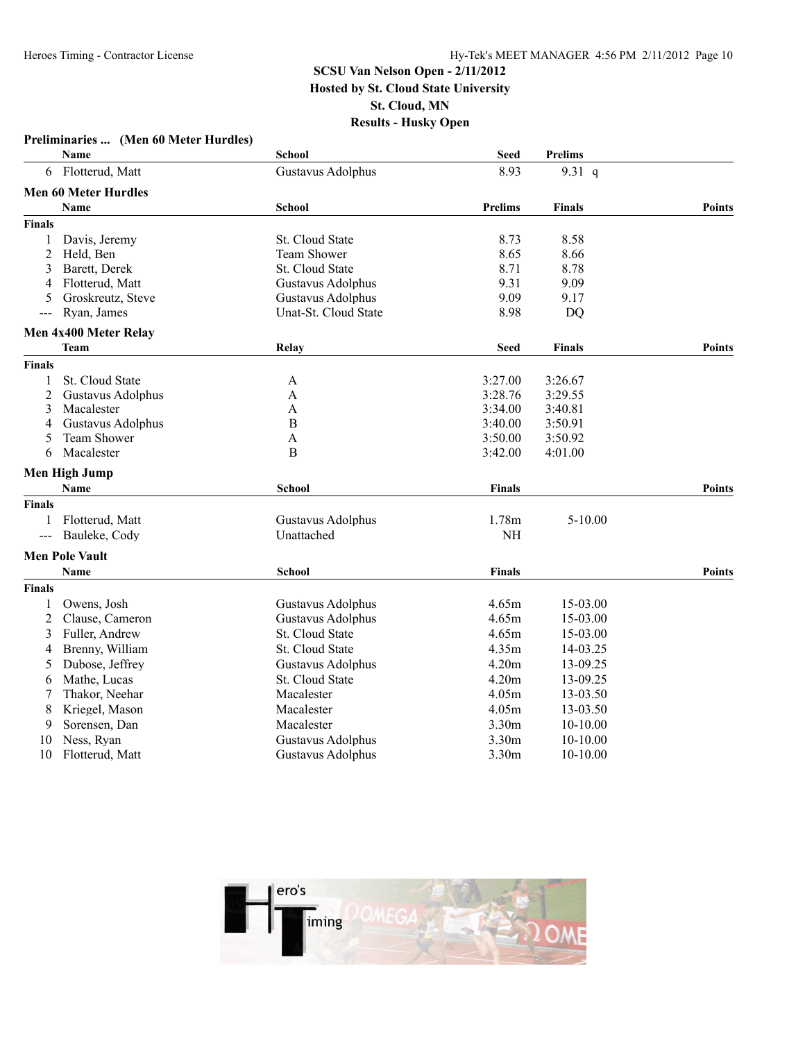|                     | Preliminaries  (Men 60 Meter Hurdles) |                        |                |                |               |
|---------------------|---------------------------------------|------------------------|----------------|----------------|---------------|
|                     | Name                                  | <b>School</b>          | Seed           | <b>Prelims</b> |               |
|                     | 6 Flotterud, Matt                     | Gustavus Adolphus      | 8.93           | 9.31 $q$       |               |
|                     | <b>Men 60 Meter Hurdles</b>           |                        |                |                |               |
|                     | Name                                  | <b>School</b>          | <b>Prelims</b> | <b>Finals</b>  | <b>Points</b> |
| <b>Finals</b>       |                                       |                        |                |                |               |
| 1                   | Davis, Jeremy                         | <b>St. Cloud State</b> | 8.73           | 8.58           |               |
| 2                   | Held, Ben                             | Team Shower            | 8.65           | 8.66           |               |
| 3                   | Barett, Derek                         | St. Cloud State        | 8.71           | 8.78           |               |
| 4                   | Flotterud, Matt                       | Gustavus Adolphus      | 9.31           | 9.09           |               |
| 5                   | Groskreutz, Steve                     | Gustavus Adolphus      | 9.09           | 9.17           |               |
| $---$               | Ryan, James                           | Unat-St. Cloud State   | 8.98           | DQ             |               |
|                     | Men 4x400 Meter Relay                 |                        |                |                |               |
|                     | Team                                  | Relay                  | <b>Seed</b>    | <b>Finals</b>  | <b>Points</b> |
| <b>Finals</b>       |                                       |                        |                |                |               |
| 1                   | St. Cloud State                       | A                      | 3:27.00        | 3:26.67        |               |
| 2                   | Gustavus Adolphus                     | A                      | 3:28.76        | 3:29.55        |               |
| 3                   | Macalester                            | A                      | 3:34.00        | 3:40.81        |               |
| 4                   | Gustavus Adolphus                     | $\, {\bf B}$           | 3:40.00        | 3:50.91        |               |
| 5                   | <b>Team Shower</b>                    | A                      | 3:50.00        | 3:50.92        |               |
| 6                   | Macalester                            | B                      | 3:42.00        | 4:01.00        |               |
|                     | <b>Men High Jump</b>                  |                        |                |                |               |
|                     | <b>Name</b>                           | <b>School</b>          | <b>Finals</b>  |                | <b>Points</b> |
| <b>Finals</b>       |                                       |                        |                |                |               |
|                     | Flotterud, Matt                       | Gustavus Adolphus      | 1.78m          | 5-10.00        |               |
| $\qquad \qquad - -$ | Bauleke, Cody                         | Unattached             | NH             |                |               |
|                     | <b>Men Pole Vault</b>                 |                        |                |                |               |
|                     | Name                                  | <b>School</b>          | <b>Finals</b>  |                | <b>Points</b> |
| <b>Finals</b>       |                                       |                        |                |                |               |
|                     | Owens, Josh                           | Gustavus Adolphus      | 4.65m          | 15-03.00       |               |
| $\overline{c}$      | Clause, Cameron                       | Gustavus Adolphus      | 4.65m          | 15-03.00       |               |
| 3                   | Fuller, Andrew                        | St. Cloud State        | 4.65m          | 15-03.00       |               |
| 4                   | Brenny, William                       | St. Cloud State        | 4.35m          | 14-03.25       |               |
| 5                   | Dubose, Jeffrey                       | Gustavus Adolphus      | 4.20m          | 13-09.25       |               |
| 6                   | Mathe, Lucas                          | St. Cloud State        | 4.20m          | 13-09.25       |               |
| 7                   | Thakor, Neehar                        | Macalester             | 4.05m          | 13-03.50       |               |
| 8                   | Kriegel, Mason                        | Macalester             | 4.05m          | 13-03.50       |               |
| 9                   | Sorensen, Dan                         | Macalester             | 3.30m          | 10-10.00       |               |
| 10                  | Ness, Ryan                            | Gustavus Adolphus      | 3.30m          | 10-10.00       |               |
| 10                  | Flotterud, Matt                       | Gustavus Adolphus      | 3.30m          | 10-10.00       |               |
|                     |                                       |                        |                |                |               |